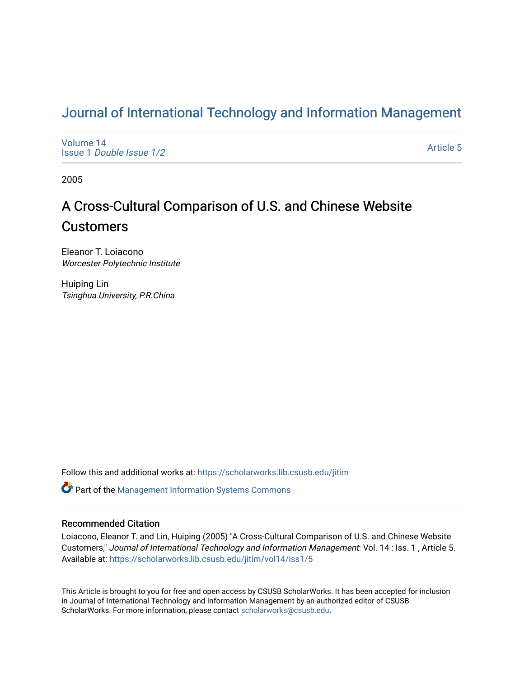## [Journal of International Technology and Information Management](https://scholarworks.lib.csusb.edu/jitim)

[Volume 14](https://scholarworks.lib.csusb.edu/jitim/vol14) Issue 1 [Double Issue 1/2](https://scholarworks.lib.csusb.edu/jitim/vol14/iss1) 

[Article 5](https://scholarworks.lib.csusb.edu/jitim/vol14/iss1/5) 

2005

# A Cross-Cultural Comparison of U.S. and Chinese Website **Customers**

Eleanor T. Loiacono Worcester Polytechnic Institute

Huiping Lin Tsinghua University, P.R.China

Follow this and additional works at: [https://scholarworks.lib.csusb.edu/jitim](https://scholarworks.lib.csusb.edu/jitim?utm_source=scholarworks.lib.csusb.edu%2Fjitim%2Fvol14%2Fiss1%2F5&utm_medium=PDF&utm_campaign=PDFCoverPages) 

**C** Part of the Management Information Systems Commons

#### Recommended Citation

Loiacono, Eleanor T. and Lin, Huiping (2005) "A Cross-Cultural Comparison of U.S. and Chinese Website Customers," Journal of International Technology and Information Management: Vol. 14 : Iss. 1 , Article 5. Available at: [https://scholarworks.lib.csusb.edu/jitim/vol14/iss1/5](https://scholarworks.lib.csusb.edu/jitim/vol14/iss1/5?utm_source=scholarworks.lib.csusb.edu%2Fjitim%2Fvol14%2Fiss1%2F5&utm_medium=PDF&utm_campaign=PDFCoverPages) 

This Article is brought to you for free and open access by CSUSB ScholarWorks. It has been accepted for inclusion in Journal of International Technology and Information Management by an authorized editor of CSUSB ScholarWorks. For more information, please contact [scholarworks@csusb.edu.](mailto:scholarworks@csusb.edu)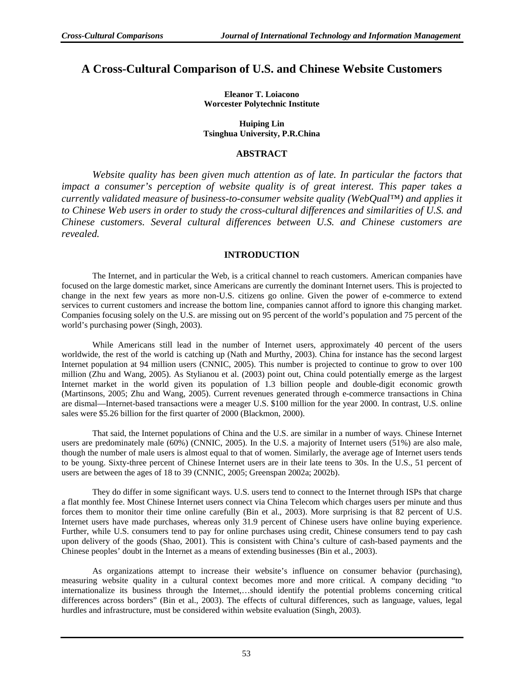### **A Cross-Cultural Comparison of U.S. and Chinese Website Customers**

**Eleanor T. Loiacono Worcester Polytechnic Institute** 

**Huiping Lin Tsinghua University, P.R.China** 

#### **ABSTRACT**

*Website quality has been given much attention as of late. In particular the factors that impact a consumer's perception of website quality is of great interest. This paper takes a currently validated measure of business-to-consumer website quality (WebQual™) and applies it to Chinese Web users in order to study the cross-cultural differences and similarities of U.S. and Chinese customers. Several cultural differences between U.S. and Chinese customers are revealed.* 

#### **INTRODUCTION**

The Internet, and in particular the Web, is a critical channel to reach customers. American companies have focused on the large domestic market, since Americans are currently the dominant Internet users. This is projected to change in the next few years as more non-U.S. citizens go online. Given the power of e-commerce to extend services to current customers and increase the bottom line, companies cannot afford to ignore this changing market. Companies focusing solely on the U.S. are missing out on 95 percent of the world's population and 75 percent of the world's purchasing power (Singh, 2003).

While Americans still lead in the number of Internet users, approximately 40 percent of the users worldwide, the rest of the world is catching up (Nath and Murthy, 2003). China for instance has the second largest Internet population at 94 million users (CNNIC, 2005). This number is projected to continue to grow to over 100 million (Zhu and Wang, 2005). As Stylianou et al. (2003) point out, China could potentially emerge as the largest Internet market in the world given its population of 1.3 billion people and double-digit economic growth (Martinsons, 2005; Zhu and Wang, 2005). Current revenues generated through e-commerce transactions in China are dismal—Internet-based transactions were a meager U.S. \$100 million for the year 2000. In contrast, U.S. online sales were \$5.26 billion for the first quarter of 2000 (Blackmon, 2000).

That said, the Internet populations of China and the U.S. are similar in a number of ways. Chinese Internet users are predominately male (60%) (CNNIC, 2005). In the U.S. a majority of Internet users (51%) are also male, though the number of male users is almost equal to that of women. Similarly, the average age of Internet users tends to be young. Sixty-three percent of Chinese Internet users are in their late teens to 30s. In the U.S., 51 percent of users are between the ages of 18 to 39 (CNNIC, 2005; Greenspan 2002a; 2002b).

They do differ in some significant ways. U.S. users tend to connect to the Internet through ISPs that charge a flat monthly fee. Most Chinese Internet users connect via China Telecom which charges users per minute and thus forces them to monitor their time online carefully (Bin et al., 2003). More surprising is that 82 percent of U.S. Internet users have made purchases, whereas only 31.9 percent of Chinese users have online buying experience. Further, while U.S. consumers tend to pay for online purchases using credit, Chinese consumers tend to pay cash upon delivery of the goods (Shao, 2001). This is consistent with China's culture of cash-based payments and the Chinese peoples' doubt in the Internet as a means of extending businesses (Bin et al., 2003).

As organizations attempt to increase their website's influence on consumer behavior (purchasing), measuring website quality in a cultural context becomes more and more critical. A company deciding "to internationalize its business through the Internet,…should identify the potential problems concerning critical differences across borders" (Bin et al., 2003). The effects of cultural differences, such as language, values, legal hurdles and infrastructure, must be considered within website evaluation (Singh, 2003).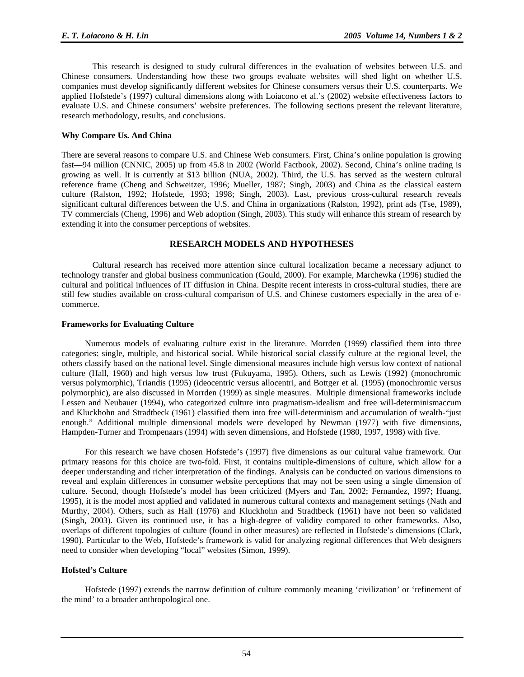This research is designed to study cultural differences in the evaluation of websites between U.S. and Chinese consumers. Understanding how these two groups evaluate websites will shed light on whether U.S. companies must develop significantly different websites for Chinese consumers versus their U.S. counterparts. We applied Hofstede's (1997) cultural dimensions along with Loiacono et al.'s (2002) website effectiveness factors to evaluate U.S. and Chinese consumers' website preferences. The following sections present the relevant literature, research methodology, results, and conclusions.

#### **Why Compare Us. And China**

There are several reasons to compare U.S. and Chinese Web consumers. First, China's online population is growing fast—94 million (CNNIC, 2005) up from 45.8 in 2002 (World Factbook, 2002). Second, China's online trading is growing as well. It is currently at \$13 billion (NUA, 2002). Third, the U.S. has served as the western cultural reference frame (Cheng and Schweitzer, 1996; Mueller, 1987; Singh, 2003) and China as the classical eastern culture (Ralston, 1992; Hofstede, 1993; 1998; Singh, 2003). Last, previous cross-cultural research reveals significant cultural differences between the U.S. and China in organizations (Ralston, 1992), print ads (Tse, 1989), TV commercials (Cheng, 1996) and Web adoption (Singh, 2003). This study will enhance this stream of research by extending it into the consumer perceptions of websites.

#### **RESEARCH MODELS AND HYPOTHESES**

Cultural research has received more attention since cultural localization became a necessary adjunct to technology transfer and global business communication (Gould, 2000). For example, Marchewka (1996) studied the cultural and political influences of IT diffusion in China. Despite recent interests in cross-cultural studies, there are still few studies available on cross-cultural comparison of U.S. and Chinese customers especially in the area of ecommerce.

#### **Frameworks for Evaluating Culture**

Numerous models of evaluating culture exist in the literature. Morrden (1999) classified them into three categories: single, multiple, and historical social. While historical social classify culture at the regional level, the others classify based on the national level. Single dimensional measures include high versus low context of national culture (Hall, 1960) and high versus low trust (Fukuyama, 1995). Others, such as Lewis (1992) (monochromic versus polymorphic), Triandis (1995) (ideocentric versus allocentri, and Bottger et al. (1995) (monochromic versus polymorphic), are also discussed in Morrden (1999) as single measures. Multiple dimensional frameworks include Lessen and Neubauer (1994), who categorized culture into pragmatism-idealism and free will-determinismaccum and Kluckhohn and Stradtbeck (1961) classified them into free will-determinism and accumulation of wealth-"just enough." Additional multiple dimensional models were developed by Newman (1977) with five dimensions, Hampden-Turner and Trompenaars (1994) with seven dimensions, and Hofstede (1980, 1997, 1998) with five.

For this research we have chosen Hofstede's (1997) five dimensions as our cultural value framework. Our primary reasons for this choice are two-fold. First, it contains multiple-dimensions of culture, which allow for a deeper understanding and richer interpretation of the findings. Analysis can be conducted on various dimensions to reveal and explain differences in consumer website perceptions that may not be seen using a single dimension of culture. Second, though Hofstede's model has been criticized (Myers and Tan, 2002; Fernandez, 1997; Huang, 1995), it is the model most applied and validated in numerous cultural contexts and management settings (Nath and Murthy, 2004). Others, such as Hall (1976) and Kluckhohn and Stradtbeck (1961) have not been so validated (Singh, 2003). Given its continued use, it has a high-degree of validity compared to other frameworks. Also, overlaps of different topologies of culture (found in other measures) are reflected in Hofstede's dimensions (Clark, 1990). Particular to the Web, Hofstede's framework is valid for analyzing regional differences that Web designers need to consider when developing "local" websites (Simon, 1999).

#### **Hofsted's Culture**

Hofstede (1997) extends the narrow definition of culture commonly meaning 'civilization' or 'refinement of the mind' to a broader anthropological one.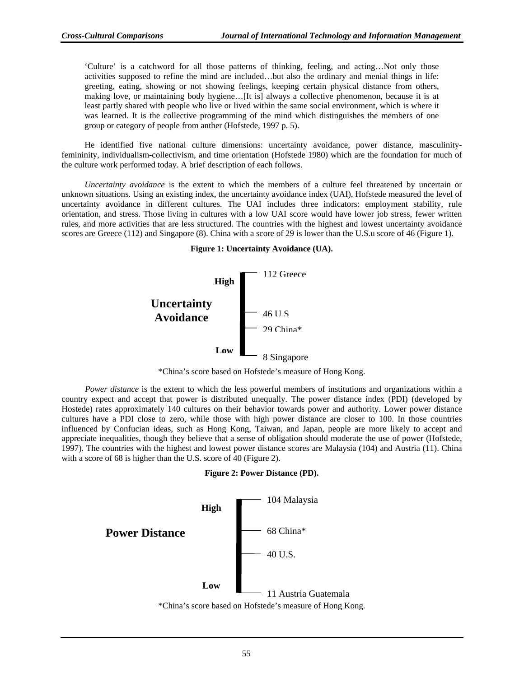'Culture' is a catchword for all those patterns of thinking, feeling, and acting…Not only those activities supposed to refine the mind are included…but also the ordinary and menial things in life: greeting, eating, showing or not showing feelings, keeping certain physical distance from others, making love, or maintaining body hygiene…[It is] always a collective phenomenon, because it is at least partly shared with people who live or lived within the same social environment, which is where it was learned. It is the collective programming of the mind which distinguishes the members of one group or category of people from anther (Hofstede, 1997 p. 5).

He identified five national culture dimensions: uncertainty avoidance, power distance, masculinityfemininity, individualism-collectivism, and time orientation (Hofstede 1980) which are the foundation for much of the culture work performed today. A brief description of each follows.

*Uncertainty avoidance* is the extent to which the members of a culture feel threatened by uncertain or unknown situations. Using an existing index, the uncertainty avoidance index (UAI), Hofstede measured the level of uncertainty avoidance in different cultures. The UAI includes three indicators: employment stability, rule orientation, and stress. Those living in cultures with a low UAI score would have lower job stress, fewer written rules, and more activities that are less structured. The countries with the highest and lowest uncertainty avoidance scores are Greece (112) and Singapore (8). China with a score of 29 is lower than the U.S.u score of 46 (Figure 1).





<sup>\*</sup>China's score based on Hofstede's measure of Hong Kong.

*Power distance* is the extent to which the less powerful members of institutions and organizations within a country expect and accept that power is distributed unequally. The power distance index (PDI) (developed by Hostede) rates approximately 140 cultures on their behavior towards power and authority. Lower power distance cultures have a PDI close to zero, while those with high power distance are closer to 100. In those countries influenced by Confucian ideas, such as Hong Kong, Taiwan, and Japan, people are more likely to accept and appreciate inequalities, though they believe that a sense of obligation should moderate the use of power (Hofstede, 1997). The countries with the highest and lowest power distance scores are Malaysia (104) and Austria (11). China with a score of 68 is higher than the U.S. score of 40 (Figure 2).



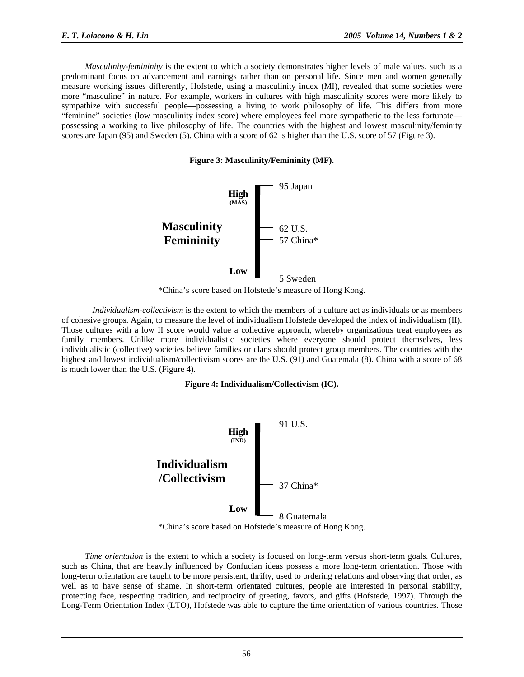*Masculinity-femininity* is the extent to which a society demonstrates higher levels of male values, such as a predominant focus on advancement and earnings rather than on personal life. Since men and women generally measure working issues differently, Hofstede, using a masculinity index (MI), revealed that some societies were more "masculine" in nature. For example, workers in cultures with high masculinity scores were more likely to sympathize with successful people—possessing a living to work philosophy of life. This differs from more "feminine" societies (low masculinity index score) where employees feel more sympathetic to the less fortunate possessing a working to live philosophy of life. The countries with the highest and lowest masculinity/feminity scores are Japan (95) and Sweden (5). China with a score of 62 is higher than the U.S. score of 57 (Figure 3).

**Figure 3: Masculinity/Femininity (MF).**



\*China's score based on Hofstede's measure of Hong Kong.

*Individualism-collectivism* is the extent to which the members of a culture act as individuals or as members of cohesive groups. Again, to measure the level of individualism Hofstede developed the index of individualism (II). Those cultures with a low II score would value a collective approach, whereby organizations treat employees as family members. Unlike more individualistic societies where everyone should protect themselves, less individualistic (collective) societies believe families or clans should protect group members. The countries with the highest and lowest individualism/collectivism scores are the U.S. (91) and Guatemala (8). China with a score of 68 is much lower than the U.S. (Figure 4).

#### **Figure 4: Individualism/Collectivism (IC).**



\*China's score based on Hofstede's measure of Hong Kong.

*Time orientation* is the extent to which a society is focused on long-term versus short-term goals. Cultures, such as China, that are heavily influenced by Confucian ideas possess a more long-term orientation. Those with long-term orientation are taught to be more persistent, thrifty, used to ordering relations and observing that order, as well as to have sense of shame. In short-term orientated cultures, people are interested in personal stability, protecting face, respecting tradition, and reciprocity of greeting, favors, and gifts (Hofstede, 1997). Through the Long-Term Orientation Index (LTO), Hofstede was able to capture the time orientation of various countries. Those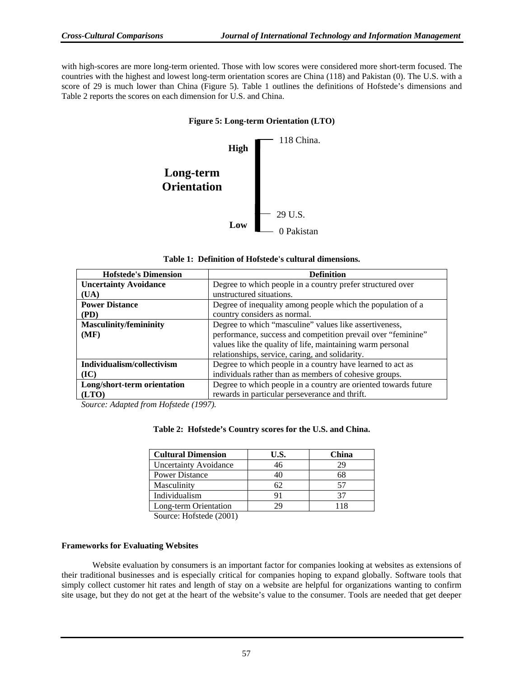with high-scores are more long-term oriented. Those with low scores were considered more short-term focused. The countries with the highest and lowest long-term orientation scores are China (118) and Pakistan (0). The U.S. with a score of 29 is much lower than China (Figure 5). Table 1 outlines the definitions of Hofstede's dimensions and Table 2 reports the scores on each dimension for U.S. and China.

#### **Figure 5: Long-term Orientation (LTO)**



| Table 1: Definition of Hofstede's cultural dimensions. |  |  |  |  |  |  |
|--------------------------------------------------------|--|--|--|--|--|--|
|--------------------------------------------------------|--|--|--|--|--|--|

| <b>Hofstede's Dimension</b>   | <b>Definition</b>                                               |  |  |  |  |
|-------------------------------|-----------------------------------------------------------------|--|--|--|--|
| <b>Uncertainty Avoidance</b>  | Degree to which people in a country prefer structured over      |  |  |  |  |
| (UA)                          | unstructured situations.                                        |  |  |  |  |
| <b>Power Distance</b>         | Degree of inequality among people which the population of a     |  |  |  |  |
| (PD)                          | country considers as normal.                                    |  |  |  |  |
| <b>Masculinity/femininity</b> | Degree to which "masculine" values like assertiveness,          |  |  |  |  |
| (MF)                          | performance, success and competition prevail over "feminine"    |  |  |  |  |
|                               | values like the quality of life, maintaining warm personal      |  |  |  |  |
|                               | relationships, service, caring, and solidarity.                 |  |  |  |  |
| Individualism/collectivism    | Degree to which people in a country have learned to act as      |  |  |  |  |
| (IC)                          | individuals rather than as members of cohesive groups.          |  |  |  |  |
| Long/short-term orientation   | Degree to which people in a country are oriented towards future |  |  |  |  |
| (LTO)                         | rewards in particular perseverance and thrift.                  |  |  |  |  |

*Source: Adapted from Hofstede (1997).*

#### **Table 2: Hofstede's Country scores for the U.S. and China.**

| <b>Cultural Dimension</b>    | U.S. | China |
|------------------------------|------|-------|
| <b>Uncertainty Avoidance</b> | 46   | 29    |
| <b>Power Distance</b>        |      | 68    |
| Masculinity                  |      | 57    |
| Individualism                | 91   |       |
| Long-term Orientation        |      | l 1 X |

Source: Hofstede (2001)

#### **Frameworks for Evaluating Websites**

Website evaluation by consumers is an important factor for companies looking at websites as extensions of their traditional businesses and is especially critical for companies hoping to expand globally. Software tools that simply collect customer hit rates and length of stay on a website are helpful for organizations wanting to confirm site usage, but they do not get at the heart of the website's value to the consumer. Tools are needed that get deeper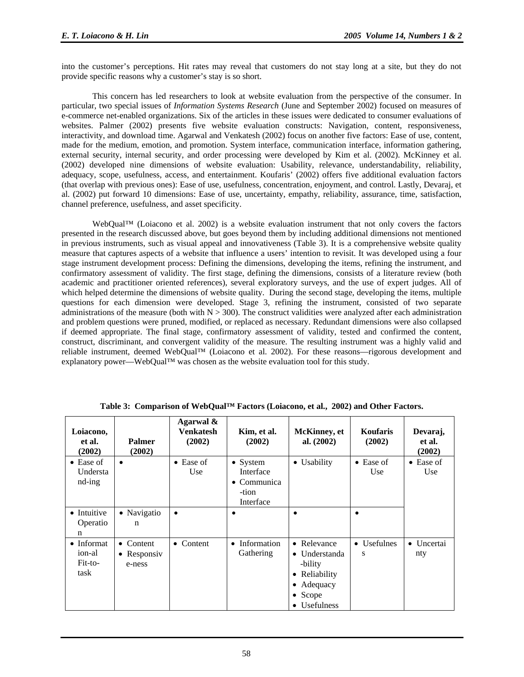into the customer's perceptions. Hit rates may reveal that customers do not stay long at a site, but they do not provide specific reasons why a customer's stay is so short.

This concern has led researchers to look at website evaluation from the perspective of the consumer. In particular, two special issues of *Information Systems Research* (June and September 2002) focused on measures of e-commerce net-enabled organizations. Six of the articles in these issues were dedicated to consumer evaluations of websites. Palmer (2002) presents five website evaluation constructs: Navigation, content, responsiveness, interactivity, and download time. Agarwal and Venkatesh (2002) focus on another five factors: Ease of use, content, made for the medium, emotion, and promotion. System interface, communication interface, information gathering, external security, internal security, and order processing were developed by Kim et al. (2002). McKinney et al. (2002) developed nine dimensions of website evaluation: Usability, relevance, understandability, reliability, adequacy, scope, usefulness, access, and entertainment. Koufaris' (2002) offers five additional evaluation factors (that overlap with previous ones): Ease of use, usefulness, concentration, enjoyment, and control. Lastly, Devaraj, et al. (2002) put forward 10 dimensions: Ease of use, uncertainty, empathy, reliability, assurance, time, satisfaction, channel preference, usefulness, and asset specificity.

WebQual™ (Loiacono et al. 2002) is a website evaluation instrument that not only covers the factors presented in the research discussed above, but goes beyond them by including additional dimensions not mentioned in previous instruments, such as visual appeal and innovativeness (Table 3). It is a comprehensive website quality measure that captures aspects of a website that influence a users' intention to revisit. It was developed using a four stage instrument development process: Defining the dimensions, developing the items, refining the instrument, and confirmatory assessment of validity. The first stage, defining the dimensions, consists of a literature review (both academic and practitioner oriented references), several exploratory surveys, and the use of expert judges. All of which helped determine the dimensions of website quality. During the second stage, developing the items, multiple questions for each dimension were developed. Stage 3, refining the instrument, consisted of two separate administrations of the measure (both with  $N > 300$ ). The construct validities were analyzed after each administration and problem questions were pruned, modified, or replaced as necessary. Redundant dimensions were also collapsed if deemed appropriate. The final stage, confirmatory assessment of validity, tested and confirmed the content, construct, discriminant, and convergent validity of the measure. The resulting instrument was a highly valid and reliable instrument, deemed WebQual™ (Loiacono et al. 2002). For these reasons—rigorous development and explanatory power—WebQual™ was chosen as the website evaluation tool for this study.

| Loiacono,<br>et al.<br>(2002)                   | <b>Palmer</b><br>(2002)            | Agarwal &<br>Venkatesh<br>(2002) | Kim, et al.<br>(2002)                                                      | <b>McKinney</b> , et<br>al. $(2002)$                                                                      | <b>Koufaris</b><br>(2002) | Devaraj,<br>et al.<br>(2002) |
|-------------------------------------------------|------------------------------------|----------------------------------|----------------------------------------------------------------------------|-----------------------------------------------------------------------------------------------------------|---------------------------|------------------------------|
| $\bullet$ Ease of<br>Understa<br>$nd-ing$       | $\bullet$                          | $\bullet$ Ease of<br>Use         | $\bullet$ System<br>Interface<br>$\bullet$ Communica<br>-tion<br>Interface | • Usability                                                                                               | $\bullet$ Ease of<br>Use  | $\bullet$ Ease of<br>Use     |
| • Intuitive<br>Operatio<br>n                    | • Navigatio<br>n                   | $\bullet$                        | $\bullet$                                                                  |                                                                                                           |                           |                              |
| $\bullet$ Informat<br>ion-al<br>Fit-to-<br>task | • Content<br>• Responsiv<br>e-ness | $\bullet$ Content                | Information<br>$\bullet$<br>Gathering                                      | • Relevance<br>$\bullet$ Understanda<br>-bility<br>• Reliability<br>• Adequacy<br>• Scope<br>• Usefulness | • Usefulnes<br>S          | • Uncertai<br>nty            |

**Table 3: Comparison of WebQual™ Factors (Loiacono, et al., 2002) and Other Factors.**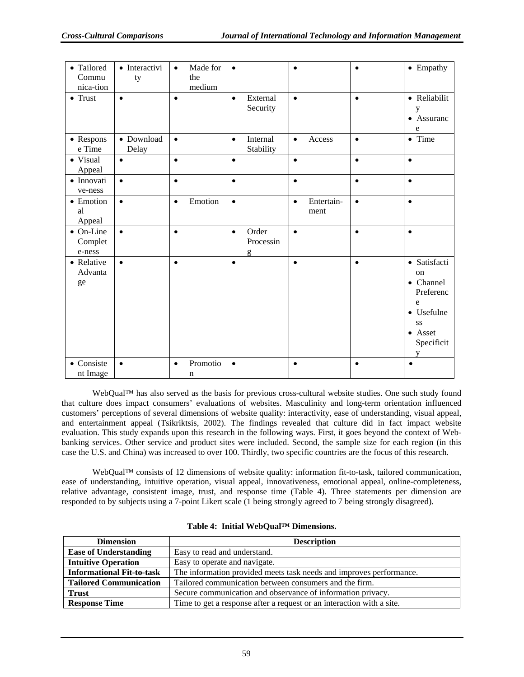| • Tailored<br>Commu<br>nica-tion       | · Interactivi<br>ty | Made for<br>$\bullet$<br>the<br>medium | $\bullet$                            | $\bullet$                       | $\bullet$ | • Empathy                                                                                                 |
|----------------------------------------|---------------------|----------------------------------------|--------------------------------------|---------------------------------|-----------|-----------------------------------------------------------------------------------------------------------|
| $\bullet$ Trust                        | $\bullet$           | $\bullet$                              | External<br>$\bullet$<br>Security    | $\bullet$                       | $\bullet$ | • Reliabilit<br>у<br>• Assuranc<br>e                                                                      |
| • Respons<br>e Time                    | • Download<br>Delay | $\bullet$                              | Internal<br>$\bullet$<br>Stability   | Access<br>$\bullet$             | $\bullet$ | • Time                                                                                                    |
| • Visual<br>Appeal                     | $\bullet$           | $\bullet$                              | $\bullet$                            | $\bullet$                       | $\bullet$ | $\bullet$                                                                                                 |
| · Innovati<br>ve-ness                  | $\bullet$           | $\bullet$                              | $\bullet$                            | $\bullet$                       | $\bullet$ | $\bullet$                                                                                                 |
| $\bullet$ Emotion<br>al<br>Appeal      | $\bullet$           | Emotion<br>$\bullet$                   | $\bullet$                            | Entertain-<br>$\bullet$<br>ment | $\bullet$ | $\bullet$                                                                                                 |
| $\bullet$ On-Line<br>Complet<br>e-ness | $\bullet$           | $\bullet$                              | Order<br>$\bullet$<br>Processin<br>g | $\bullet$                       |           | $\bullet$                                                                                                 |
| • Relative<br>Advanta<br>ge            | $\bullet$           | $\bullet$                              | $\bullet$                            | $\bullet$                       | $\bullet$ | · Satisfacti<br><sub>on</sub><br>• Channel<br>Preferenc<br>e<br>• Usefulne<br>SS<br>• Asset<br>Specificit |
| • Consiste<br>nt Image                 | $\bullet$           | Promotio<br>$\bullet$<br>$\mathbf n$   | $\bullet$                            | $\bullet$                       | $\bullet$ | $\bullet$                                                                                                 |

WebQual™ has also served as the basis for previous cross-cultural website studies. One such study found that culture does impact consumers' evaluations of websites. Masculinity and long-term orientation influenced customers' perceptions of several dimensions of website quality: interactivity, ease of understanding, visual appeal, and entertainment appeal (Tsikriktsis, 2002). The findings revealed that culture did in fact impact website evaluation. This study expands upon this research in the following ways. First, it goes beyond the context of Webbanking services. Other service and product sites were included. Second, the sample size for each region (in this case the U.S. and China) was increased to over 100. Thirdly, two specific countries are the focus of this research.

WebQual™ consists of 12 dimensions of website quality: information fit-to-task, tailored communication, ease of understanding, intuitive operation, visual appeal, innovativeness, emotional appeal, online-completeness, relative advantage, consistent image, trust, and response time (Table 4)*.* Three statements per dimension are responded to by subjects using a 7-point Likert scale (1 being strongly agreed to 7 being strongly disagreed).

| <b>Dimension</b>                 | <b>Description</b>                                                    |  |  |  |
|----------------------------------|-----------------------------------------------------------------------|--|--|--|
| <b>Ease of Understanding</b>     | Easy to read and understand.                                          |  |  |  |
| <b>Intuitive Operation</b>       | Easy to operate and navigate.                                         |  |  |  |
| <b>Informational Fit-to-task</b> | The information provided meets task needs and improves performance.   |  |  |  |
| <b>Tailored Communication</b>    | Tailored communication between consumers and the firm.                |  |  |  |
| <b>Trust</b>                     | Secure communication and observance of information privacy.           |  |  |  |
| <b>Response Time</b>             | Time to get a response after a request or an interaction with a site. |  |  |  |

|  |  |  | Table 4: Initial WebQual <sup>™</sup> Dimensions. |
|--|--|--|---------------------------------------------------|
|--|--|--|---------------------------------------------------|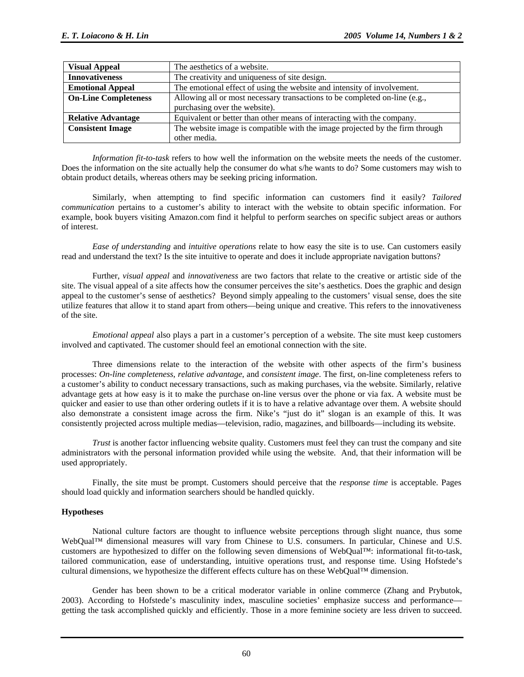| <b>Visual Appeal</b>                                                                                      | The aesthetics of a website.                                                 |
|-----------------------------------------------------------------------------------------------------------|------------------------------------------------------------------------------|
| <b>Innovativeness</b>                                                                                     | The creativity and uniqueness of site design.                                |
| The emotional effect of using the website and intensity of involvement.<br><b>Emotional Appeal</b>        |                                                                              |
| <b>On-Line Completeness</b><br>Allowing all or most necessary transactions to be completed on-line (e.g., |                                                                              |
|                                                                                                           | purchasing over the website).                                                |
| <b>Relative Advantage</b>                                                                                 | Equivalent or better than other means of interacting with the company.       |
| <b>Consistent Image</b>                                                                                   | The website image is compatible with the image projected by the firm through |
|                                                                                                           | other media.                                                                 |

*Information fit-to-task* refers to how well the information on the website meets the needs of the customer. Does the information on the site actually help the consumer do what s/he wants to do? Some customers may wish to obtain product details, whereas others may be seeking pricing information.

Similarly, when attempting to find specific information can customers find it easily? *Tailored communication* pertains to a customer's ability to interact with the website to obtain specific information. For example, book buyers visiting Amazon.com find it helpful to perform searches on specific subject areas or authors of interest.

*Ease of understanding* and *intuitive operations* relate to how easy the site is to use. Can customers easily read and understand the text? Is the site intuitive to operate and does it include appropriate navigation buttons?

Further, *visual appeal* and *innovativeness* are two factors that relate to the creative or artistic side of the site. The visual appeal of a site affects how the consumer perceives the site's aesthetics. Does the graphic and design appeal to the customer's sense of aesthetics? Beyond simply appealing to the customers' visual sense, does the site utilize features that allow it to stand apart from others—being unique and creative. This refers to the innovativeness of the site.

*Emotional appeal* also plays a part in a customer's perception of a website. The site must keep customers involved and captivated. The customer should feel an emotional connection with the site.

Three dimensions relate to the interaction of the website with other aspects of the firm's business processes: *On-line completeness*, *relative advantage*, and *consistent image*. The first, on-line completeness refers to a customer's ability to conduct necessary transactions, such as making purchases, via the website. Similarly, relative advantage gets at how easy is it to make the purchase on-line versus over the phone or via fax. A website must be quicker and easier to use than other ordering outlets if it is to have a relative advantage over them. A website should also demonstrate a consistent image across the firm. Nike's "just do it" slogan is an example of this. It was consistently projected across multiple medias—television, radio, magazines, and billboards—including its website.

*Trust* is another factor influencing website quality. Customers must feel they can trust the company and site administrators with the personal information provided while using the website. And, that their information will be used appropriately.

Finally, the site must be prompt. Customers should perceive that the *response time* is acceptable. Pages should load quickly and information searchers should be handled quickly.

#### **Hypotheses**

National culture factors are thought to influence website perceptions through slight nuance, thus some WebQual™ dimensional measures will vary from Chinese to U.S. consumers. In particular, Chinese and U.S. customers are hypothesized to differ on the following seven dimensions of WebQual™: informational fit-to-task, tailored communication, ease of understanding, intuitive operations trust, and response time. Using Hofstede's cultural dimensions, we hypothesize the different effects culture has on these WebQual™ dimension.

Gender has been shown to be a critical moderator variable in online commerce (Zhang and Prybutok, 2003). According to Hofstede's masculinity index, masculine societies' emphasize success and performance getting the task accomplished quickly and efficiently. Those in a more feminine society are less driven to succeed.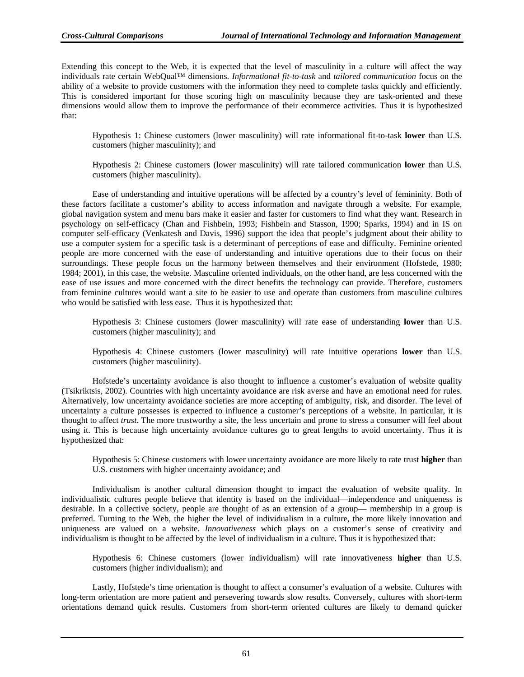Extending this concept to the Web, it is expected that the level of masculinity in a culture will affect the way individuals rate certain WebQual™ dimensions. *Informational fit-to-task* and *tailored communication* focus on the ability of a website to provide customers with the information they need to complete tasks quickly and efficiently. This is considered important for those scoring high on masculinity because they are task-oriented and these dimensions would allow them to improve the performance of their ecommerce activities. Thus it is hypothesized that:

Hypothesis 1: Chinese customers (lower masculinity) will rate informational fit-to-task **lower** than U.S. customers (higher masculinity); and

Hypothesis 2: Chinese customers (lower masculinity) will rate tailored communication **lower** than U.S. customers (higher masculinity).

Ease of understanding and intuitive operations will be affected by a country's level of femininity. Both of these factors facilitate a customer's ability to access information and navigate through a website. For example, global navigation system and menu bars make it easier and faster for customers to find what they want. Research in psychology on self-efficacy (Chan and Fishbein, 1993; Fishbein and Stasson, 1990; Sparks, 1994) and in IS on computer self-efficacy (Venkatesh and Davis, 1996) support the idea that people's judgment about their ability to use a computer system for a specific task is a determinant of perceptions of ease and difficulty. Feminine oriented people are more concerned with the ease of understanding and intuitive operations due to their focus on their surroundings. These people focus on the harmony between themselves and their environment (Hofstede, 1980; 1984; 2001), in this case, the website. Masculine oriented individuals, on the other hand, are less concerned with the ease of use issues and more concerned with the direct benefits the technology can provide. Therefore, customers from feminine cultures would want a site to be easier to use and operate than customers from masculine cultures who would be satisfied with less ease. Thus it is hypothesized that:

Hypothesis 3: Chinese customers (lower masculinity) will rate ease of understanding **lower** than U.S. customers (higher masculinity); and

Hypothesis 4: Chinese customers (lower masculinity) will rate intuitive operations **lower** than U.S. customers (higher masculinity).

Hofstede's uncertainty avoidance is also thought to influence a customer's evaluation of website quality (Tsikriktsis, 2002). Countries with high uncertainty avoidance are risk averse and have an emotional need for rules. Alternatively, low uncertainty avoidance societies are more accepting of ambiguity, risk, and disorder. The level of uncertainty a culture possesses is expected to influence a customer's perceptions of a website. In particular, it is thought to affect *trust*. The more trustworthy a site, the less uncertain and prone to stress a consumer will feel about using it. This is because high uncertainty avoidance cultures go to great lengths to avoid uncertainty. Thus it is hypothesized that:

Hypothesis 5: Chinese customers with lower uncertainty avoidance are more likely to rate trust **higher** than U.S. customers with higher uncertainty avoidance; and

Individualism is another cultural dimension thought to impact the evaluation of website quality. In individualistic cultures people believe that identity is based on the individual—independence and uniqueness is desirable. In a collective society, people are thought of as an extension of a group— membership in a group is preferred. Turning to the Web, the higher the level of individualism in a culture, the more likely innovation and uniqueness are valued on a website. *Innovativeness* which plays on a customer's sense of creativity and individualism is thought to be affected by the level of individualism in a culture. Thus it is hypothesized that:

Hypothesis 6: Chinese customers (lower individualism) will rate innovativeness **higher** than U.S. customers (higher individualism); and

Lastly, Hofstede's time orientation is thought to affect a consumer's evaluation of a website. Cultures with long-term orientation are more patient and persevering towards slow results. Conversely, cultures with short-term orientations demand quick results. Customers from short-term oriented cultures are likely to demand quicker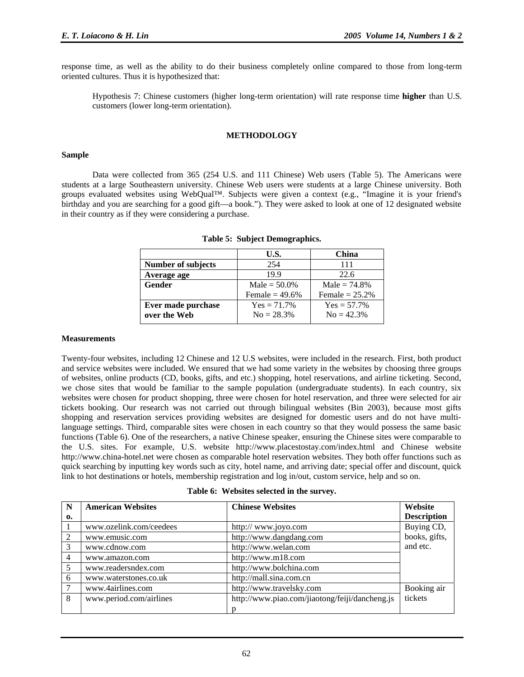response time, as well as the ability to do their business completely online compared to those from long-term oriented cultures. Thus it is hypothesized that:

Hypothesis 7: Chinese customers (higher long-term orientation) will rate response time **higher** than U.S. customers (lower long-term orientation).

#### **METHODOLOGY**

#### **Sample**

Data were collected from 365 (254 U.S. and 111 Chinese) Web users (Table 5). The Americans were students at a large Southeastern university. Chinese Web users were students at a large Chinese university. Both groups evaluated websites using WebQual™. Subjects were given a context (e.g., "Imagine it is your friend's birthday and you are searching for a good gift—a book."). They were asked to look at one of 12 designated website in their country as if they were considering a purchase.

|                    | U.S.             | China             |
|--------------------|------------------|-------------------|
| Number of subjects | 254              | 111               |
| Average age        | 199              | 22.6              |
| Gender             | Male = $50.0\%$  | Male = $74.8%$    |
|                    | Female = $49.6%$ | Female $= 25.2\%$ |
| Ever made purchase | $Yes = 71.7\%$   | $Yes = 57.7\%$    |
| over the Web       | $No = 28.3\%$    | $N_0 = 42.3%$     |

|  |  | Table 5: Subject Demographics. |
|--|--|--------------------------------|
|--|--|--------------------------------|

#### **Measurements**

Twenty-four websites, including 12 Chinese and 12 U.S websites, were included in the research. First, both product and service websites were included. We ensured that we had some variety in the websites by choosing three groups of websites, online products (CD, books, gifts, and etc.) shopping, hotel reservations, and airline ticketing. Second, we chose sites that would be familiar to the sample population (undergraduate students). In each country, six websites were chosen for product shopping, three were chosen for hotel reservation, and three were selected for air tickets booking. Our research was not carried out through bilingual websites (Bin 2003), because most gifts shopping and reservation services providing websites are designed for domestic users and do not have multilanguage settings. Third, comparable sites were chosen in each country so that they would possess the same basic functions (Table 6). One of the researchers, a native Chinese speaker, ensuring the Chinese sites were comparable to the U.S. sites. For example, U.S. website http://www.placestostay.com/index.html and Chinese website http://www.china-hotel.net were chosen as comparable hotel reservation websites. They both offer functions such as quick searching by inputting key words such as city, hotel name, and arriving date; special offer and discount, quick link to hot destinations or hotels, membership registration and log in/out, custom service, help and so on.

|  | Table 6: Websites selected in the survey. |  |  |  |  |
|--|-------------------------------------------|--|--|--|--|
|--|-------------------------------------------|--|--|--|--|

| N             | <b>American Websites</b> | <b>Chinese Websites</b>                        | Website            |
|---------------|--------------------------|------------------------------------------------|--------------------|
| 0.            |                          |                                                | <b>Description</b> |
|               | www.ozelink.com/ceedees  | http:// www.joyo.com                           | Buying CD,         |
| $\mathcal{L}$ | www.emusic.com           | http://www.dangdang.com                        | books, gifts,      |
| 3             | www.cdnow.com            | http://www.welan.com                           | and etc.           |
| 4             | www.amazon.com           | http://www.m18.com                             |                    |
| 5             | www.readersndex.com      | http://www.bolchina.com                        |                    |
| 6             | www.waterstones.co.uk    | http://mall.sina.com.cn                        |                    |
|               | www.4airlines.com        | http://www.travelsky.com                       | Booking air        |
| 8             | www.period.com/airlines  | http://www.piao.com/jiaotong/feiji/dancheng.js | tickets            |
|               |                          |                                                |                    |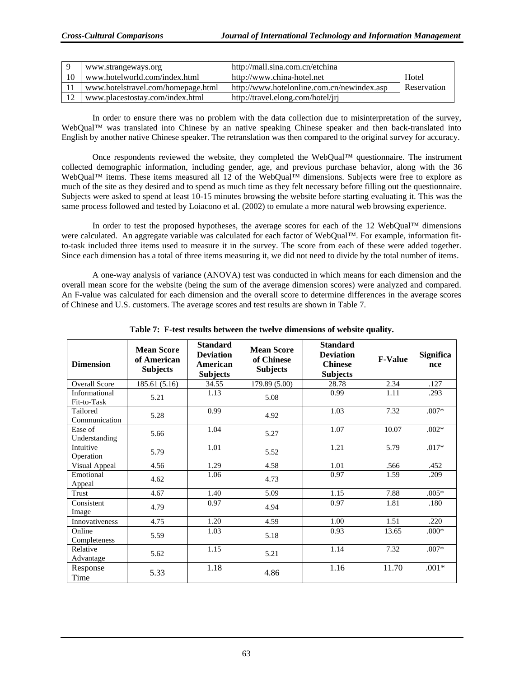|    | www.strangeways.org                | http://mall.sina.com.cn/etchina            |             |
|----|------------------------------------|--------------------------------------------|-------------|
| 10 | www.hotelworld.com/index.html      | http://www.china-hotel.net                 | Hotel       |
|    | www.hotelstravel.com/homepage.html | http://www.hotelonline.com.cn/newindex.asp | Reservation |
| 12 | www.placestostay.com/index.html    | http://travel.elong.com/hotel/jrj          |             |

In order to ensure there was no problem with the data collection due to misinterpretation of the survey, WebQual™ was translated into Chinese by an native speaking Chinese speaker and then back-translated into English by another native Chinese speaker. The retranslation was then compared to the original survey for accuracy.

Once respondents reviewed the website, they completed the WebQual™ questionnaire. The instrument collected demographic information, including gender, age, and previous purchase behavior, along with the 36 WebQual™ items. These items measured all 12 of the WebQual™ dimensions. Subjects were free to explore as much of the site as they desired and to spend as much time as they felt necessary before filling out the questionnaire. Subjects were asked to spend at least 10-15 minutes browsing the website before starting evaluating it. This was the same process followed and tested by Loiacono et al. (2002) to emulate a more natural web browsing experience.

In order to test the proposed hypotheses, the average scores for each of the 12 WebQual™ dimensions were calculated. An aggregate variable was calculated for each factor of WebQual™. For example, information fitto-task included three items used to measure it in the survey. The score from each of these were added together. Since each dimension has a total of three items measuring it, we did not need to divide by the total number of items.

A one-way analysis of variance (ANOVA) test was conducted in which means for each dimension and the overall mean score for the website (being the sum of the average dimension scores) were analyzed and compared. An F-value was calculated for each dimension and the overall score to determine differences in the average scores of Chinese and U.S. customers. The average scores and test results are shown in Table 7.

| <b>Dimension</b>             | <b>Mean Score</b><br>of American<br><b>Subjects</b> | <b>Standard</b><br><b>Deviation</b><br>American<br><b>Subjects</b> | <b>Mean Score</b><br>of Chinese<br><b>Subjects</b> | <b>Standard</b><br><b>Deviation</b><br><b>Chinese</b><br><b>Subjects</b> | <b>F-Value</b> | <b>Significa</b><br>nce |
|------------------------------|-----------------------------------------------------|--------------------------------------------------------------------|----------------------------------------------------|--------------------------------------------------------------------------|----------------|-------------------------|
| <b>Overall Score</b>         | 185.61 (5.16)                                       | 34.55                                                              | 179.89 (5.00)                                      | 28.78                                                                    | 2.34           | .127                    |
| Informational<br>Fit-to-Task | 5.21                                                | 1.13                                                               | 5.08                                               | 0.99                                                                     | 1.11           | .293                    |
| Tailored<br>Communication    | 5.28                                                | 0.99                                                               | 4.92                                               | 1.03                                                                     | 7.32           | $.007*$                 |
| Ease of<br>Understanding     | 5.66                                                | 1.04                                                               | 5.27                                               | 1.07                                                                     | 10.07          | $.002*$                 |
| Intuitive<br>Operation       | 5.79                                                | 1.01                                                               | 5.52                                               | 1.21                                                                     | 5.79           | $.017*$                 |
| Visual Appeal                | 4.56                                                | 1.29                                                               | 4.58                                               | 1.01                                                                     | .566           | .452                    |
| Emotional<br>Appeal          | 4.62                                                | 1.06                                                               | 4.73                                               | 0.97                                                                     | 1.59           | .209                    |
| Trust                        | 4.67                                                | 1.40                                                               | 5.09                                               | 1.15                                                                     | 7.88           | $.005*$                 |
| Consistent<br>Image          | 4.79                                                | 0.97                                                               | 4.94                                               | 0.97                                                                     | 1.81           | .180                    |
| <b>Innovativeness</b>        | 4.75                                                | 1.20                                                               | 4.59                                               | 1.00                                                                     | 1.51           | .220                    |
| Online<br>Completeness       | 5.59                                                | 1.03                                                               | 5.18                                               | 0.93                                                                     | 13.65          | $.000*$                 |
| Relative<br>Advantage        | 5.62                                                | 1.15                                                               | 5.21                                               | 1.14                                                                     | 7.32           | $.007*$                 |
| Response<br>Time             | 5.33                                                | 1.18                                                               | 4.86                                               | 1.16                                                                     | 11.70          | $.001*$                 |

**Table 7: F-test results between the twelve dimensions of website quality.**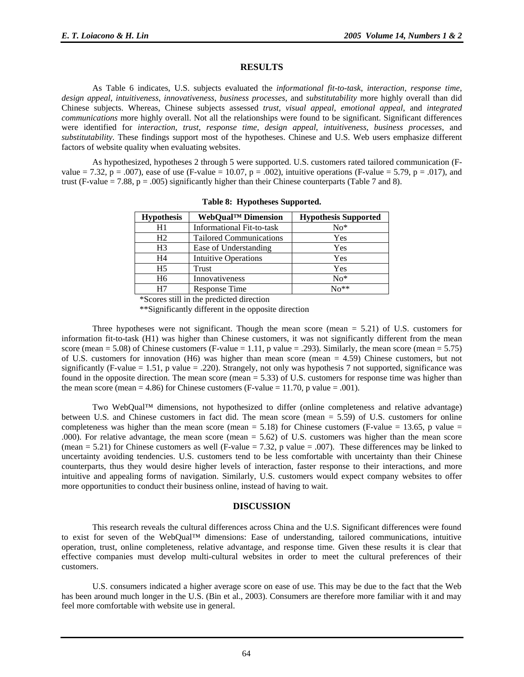#### **RESULTS**

As Table 6 indicates, U.S. subjects evaluated the *informational fit-to-task*, *interaction*, *response time*, *design appeal*, *intuitiveness*, *innovativeness*, *business processes*, and *substitutability* more highly overall than did Chinese subjects. Whereas, Chinese subjects assessed *trust*, *visual appeal*, *emotional appeal*, and *integrated communications* more highly overall. Not all the relationships were found to be significant. Significant differences were identified for *interaction*, *trust*, *response time*, *design appeal*, *intuitiveness*, *business processes*, and *substitutability*. These findings support most of the hypotheses. Chinese and U.S. Web users emphasize different factors of website quality when evaluating websites.

As hypothesized, hypotheses 2 through 5 were supported. U.S. customers rated tailored communication (Fvalue = 7.32, p = .007), ease of use (F-value = 10.07, p = .002), intuitive operations (F-value = 5.79, p = .017), and trust (F-value  $= 7.88$ ,  $p = .005$ ) significantly higher than their Chinese counterparts (Table 7 and 8).

| <b>Hypothesis</b> | WebQual <sup>™</sup> Dimension | <b>Hypothesis Supported</b> |  |  |
|-------------------|--------------------------------|-----------------------------|--|--|
| H1                | Informational Fit-to-task      | $No*$                       |  |  |
| H <sub>2</sub>    | <b>Tailored Communications</b> | Yes                         |  |  |
| H <sub>3</sub>    | Ease of Understanding          | Yes                         |  |  |
| H4                | <b>Intuitive Operations</b>    | Yes                         |  |  |
| H <sub>5</sub>    | Trust                          | Yes                         |  |  |
| H <sub>6</sub>    | Innovativeness                 | $No*$                       |  |  |
| H7                | Response Time                  | $N_{0}**$                   |  |  |

**Table 8: Hypotheses Supported.** 

\*Scores still in the predicted direction

\*\*Significantly different in the opposite direction

Three hypotheses were not significant. Though the mean score (mean  $= 5.21$ ) of U.S. customers for information fit-to-task (H1) was higher than Chinese customers, it was not significantly different from the mean score (mean = 5.08) of Chinese customers (F-value = 1.11, p value = .293). Similarly, the mean score (mean = 5.75) of U.S. customers for innovation (H6) was higher than mean score (mean = 4.59) Chinese customers, but not significantly (F-value  $= 1.51$ , p value  $= .220$ ). Strangely, not only was hypothesis 7 not supported, significance was found in the opposite direction. The mean score (mean = 5.33) of U.S. customers for response time was higher than the mean score (mean  $= 4.86$ ) for Chinese customers (F-value  $= 11.70$ , p value  $= .001$ ).

Two WebQual™ dimensions, not hypothesized to differ (online completeness and relative advantage) between U.S. and Chinese customers in fact did. The mean score (mean = 5.59) of U.S. customers for online completeness was higher than the mean score (mean  $= 5.18$ ) for Chinese customers (F-value  $= 13.65$ , p value  $=$ .000). For relative advantage, the mean score (mean = 5.62) of U.S. customers was higher than the mean score (mean = 5.21) for Chinese customers as well (F-value = 7.32, p value = .007). These differences may be linked to uncertainty avoiding tendencies. U.S. customers tend to be less comfortable with uncertainty than their Chinese counterparts, thus they would desire higher levels of interaction, faster response to their interactions, and more intuitive and appealing forms of navigation. Similarly, U.S. customers would expect company websites to offer more opportunities to conduct their business online, instead of having to wait.

#### **DISCUSSION**

This research reveals the cultural differences across China and the U.S. Significant differences were found to exist for seven of the WebQual™ dimensions: Ease of understanding, tailored communications, intuitive operation, trust, online completeness, relative advantage, and response time. Given these results it is clear that effective companies must develop multi-cultural websites in order to meet the cultural preferences of their customers.

U.S. consumers indicated a higher average score on ease of use. This may be due to the fact that the Web has been around much longer in the U.S. (Bin et al., 2003). Consumers are therefore more familiar with it and may feel more comfortable with website use in general.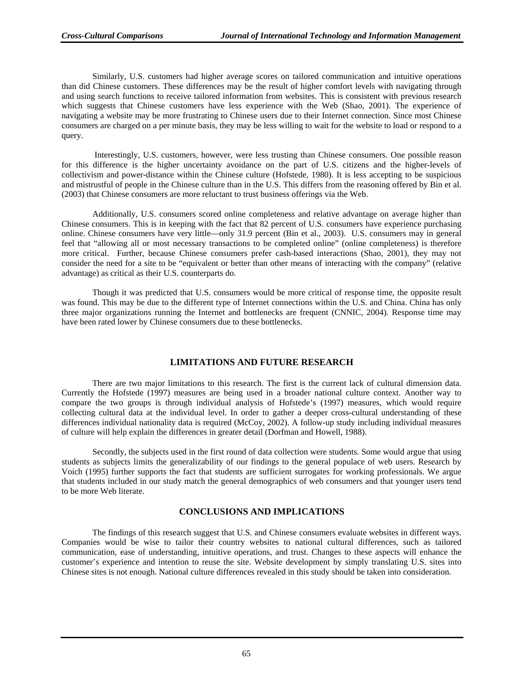Similarly, U.S. customers had higher average scores on tailored communication and intuitive operations than did Chinese customers. These differences may be the result of higher comfort levels with navigating through and using search functions to receive tailored information from websites. This is consistent with previous research which suggests that Chinese customers have less experience with the Web (Shao, 2001). The experience of navigating a website may be more frustrating to Chinese users due to their Internet connection. Since most Chinese consumers are charged on a per minute basis, they may be less willing to wait for the website to load or respond to a query.

 Interestingly, U.S. customers, however, were less trusting than Chinese consumers. One possible reason for this difference is the higher uncertainty avoidance on the part of U.S. citizens and the higher-levels of collectivism and power-distance within the Chinese culture (Hofstede, 1980). It is less accepting to be suspicious and mistrustful of people in the Chinese culture than in the U.S. This differs from the reasoning offered by Bin et al. (2003) that Chinese consumers are more reluctant to trust business offerings via the Web.

Additionally, U.S. consumers scored online completeness and relative advantage on average higher than Chinese consumers. This is in keeping with the fact that 82 percent of U.S. consumers have experience purchasing online. Chinese consumers have very little—only 31.9 percent (Bin et al., 2003). U.S. consumers may in general feel that "allowing all or most necessary transactions to be completed online" (online completeness) is therefore more critical. Further, because Chinese consumers prefer cash-based interactions (Shao, 2001), they may not consider the need for a site to be "equivalent or better than other means of interacting with the company" (relative advantage) as critical as their U.S. counterparts do.

Though it was predicted that U.S. consumers would be more critical of response time, the opposite result was found. This may be due to the different type of Internet connections within the U.S. and China. China has only three major organizations running the Internet and bottlenecks are frequent (CNNIC, 2004). Response time may have been rated lower by Chinese consumers due to these bottlenecks.

#### **LIMITATIONS AND FUTURE RESEARCH**

There are two major limitations to this research. The first is the current lack of cultural dimension data. Currently the Hofstede (1997) measures are being used in a broader national culture context. Another way to compare the two groups is through individual analysis of Hofstede's (1997) measures, which would require collecting cultural data at the individual level. In order to gather a deeper cross-cultural understanding of these differences individual nationality data is required (McCoy, 2002). A follow-up study including individual measures of culture will help explain the differences in greater detail (Dorfman and Howell, 1988).

Secondly, the subjects used in the first round of data collection were students. Some would argue that using students as subjects limits the generalizability of our findings to the general populace of web users. Research by Voich (1995) further supports the fact that students are sufficient surrogates for working professionals. We argue that students included in our study match the general demographics of web consumers and that younger users tend to be more Web literate.

#### **CONCLUSIONS AND IMPLICATIONS**

The findings of this research suggest that U.S. and Chinese consumers evaluate websites in different ways. Companies would be wise to tailor their country websites to national cultural differences, such as tailored communication, ease of understanding, intuitive operations, and trust. Changes to these aspects will enhance the customer's experience and intention to reuse the site. Website development by simply translating U.S. sites into Chinese sites is not enough. National culture differences revealed in this study should be taken into consideration.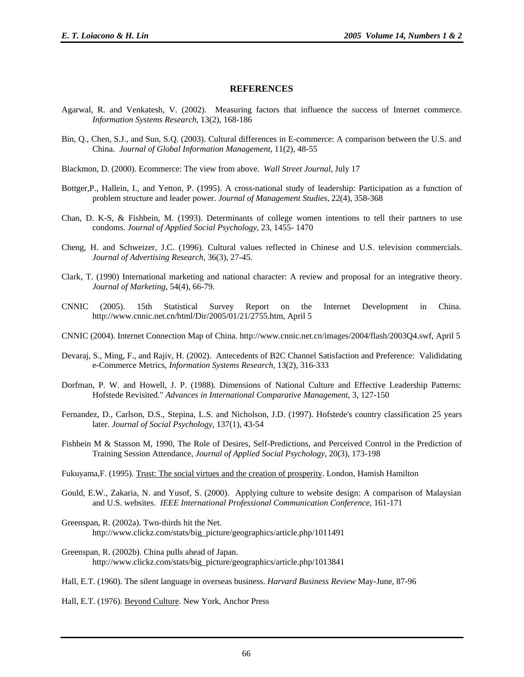#### **REFERENCES**

- Agarwal, R. and Venkatesh, V. (2002). Measuring factors that influence the success of Internet commerce. *Information Systems Research*, 13(2), 168-186
- Bin, Q., Chen, S.J., and Sun, S.Q. (2003). Cultural differences in E-commerce: A comparison between the U.S. and China. *Journal of Global Information Management*, 11(2), 48-55
- Blackmon, D. (2000). Ecommerce: The view from above. *Wall Street Journal*, July 17
- Bottger,P., Hallein, I., and Yetton, P. (1995). A cross-national study of leadership: Participation as a function of problem structure and leader power. *Journal of Management Studies,* 22(4), 358-368
- Chan, D. K-S, & Fishbein, M. (1993). Determinants of college women intentions to tell their partners to use condoms. *Journal of Applied Social Psychology*, 23, 1455- 1470
- Cheng, H. and Schweizer, J.C. (1996). Cultural values reflected in Chinese and U.S. television commercials. *Journal of Advertising Research,* 36(3), 27-45.
- Clark, T. (1990) International marketing and national character: A review and proposal for an integrative theory. *Journal of Marketing*, 54(4), 66-79.
- CNNIC (2005). 15th Statistical Survey Report on the Internet Development in China. http://www.cnnic.net.cn/html/Dir/2005/01/21/2755.htm, April 5
- CNNIC (2004). Internet Connection Map of China. http://www.cnnic.net.cn/images/2004/flash/2003Q4.swf, April 5
- Devaraj, S., Ming, F., and Rajiv, H. (2002). Antecedents of B2C Channel Satisfaction and Preference: Valididating e-Commerce Metrics, *Information Systems Research*, 13(2), 316-333
- Dorfman, P. W. and Howell, J. P. (1988). Dimensions of National Culture and Effective Leadership Patterns: Hofstede Revisited." *Advances in International Comparative Management*, 3, 127-150
- Fernandez, D., Carlson, D.S., Stepina, L.S. and Nicholson, J.D. (1997). Hofstede's country classification 25 years later. *Journal of Social Psychology*, 137(1), 43-54
- Fishbein M & Stasson M, 1990, The Role of Desires, Self-Predictions, and Perceived Control in the Prediction of Training Session Attendance, *Journal of Applied Social Psychology*, 20(3), 173-198
- Fukuyama,F. (1995). Trust: The social virtues and the creation of prosperity. London, Hamish Hamilton
- Gould, E.W., Zakaria, N. and Yusof, S. (2000). Applying culture to website design: A comparison of Malaysian and U.S. websites. *IEEE International Professional Communication Conference*, 161-171
- Greenspan, R. (2002a). Two-thirds hit the Net. http://www.clickz.com/stats/big\_picture/geographics/article.php/1011491
- Greenspan, R. (2002b). China pulls ahead of Japan. http://www.clickz.com/stats/big\_picture/geographics/article.php/1013841
- Hall, E.T. (1960). The silent language in overseas business. *Harvard Business Review* May-June, 87-96

Hall, E.T. (1976). Beyond Culture. New York, Anchor Press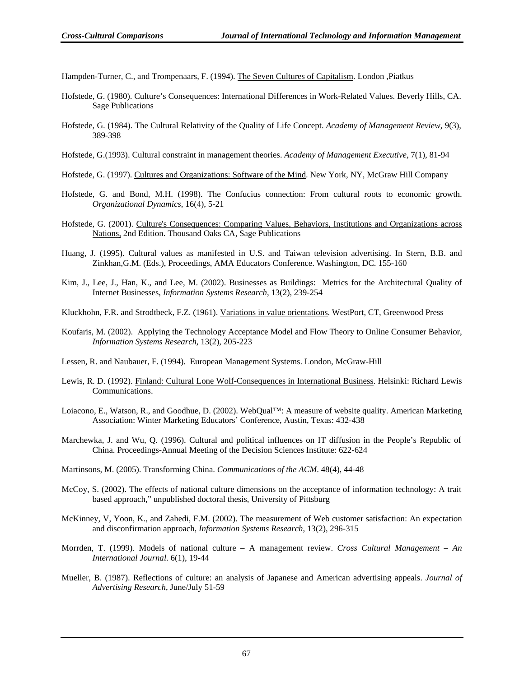Hampden-Turner, C., and Trompenaars, F. (1994). The Seven Cultures of Capitalism. London ,Piatkus

- Hofstede, G. (1980). Culture's Consequences: International Differences in Work-Related Values. Beverly Hills, CA. Sage Publications
- Hofstede, G. (1984). The Cultural Relativity of the Quality of Life Concept. *Academy of Management Review,* 9(3), 389-398
- Hofstede, G.(1993). Cultural constraint in management theories. *Academy of Management Executive*, 7(1), 81-94

Hofstede, G. (1997). Cultures and Organizations: Software of the Mind. New York, NY, McGraw Hill Company

- Hofstede, G. and Bond, M.H. (1998). The Confucius connection: From cultural roots to economic growth. *Organizational Dynamics*, 16(4), 5-21
- Hofstede, G. (2001). Culture's Consequences: Comparing Values, Behaviors, Institutions and Organizations across Nations, 2nd Edition. Thousand Oaks CA, Sage Publications
- Huang, J. (1995). Cultural values as manifested in U.S. and Taiwan television advertising. In Stern, B.B. and Zinkhan,G.M. (Eds.), Proceedings, AMA Educators Conference. Washington, DC. 155-160
- Kim, J., Lee, J., Han, K., and Lee, M. (2002). Businesses as Buildings: Metrics for the Architectural Quality of Internet Businesses, *Information Systems Research*, 13(2), 239-254
- Kluckhohn, F.R. and Strodtbeck, F.Z. (1961). Variations in value orientations. WestPort, CT, Greenwood Press
- Koufaris, M. (2002). Applying the Technology Acceptance Model and Flow Theory to Online Consumer Behavior, *Information Systems Research*, 13(2), 205-223
- Lessen, R. and Naubauer, F. (1994). European Management Systems. London, McGraw-Hill
- Lewis, R. D. (1992). Finland: Cultural Lone Wolf-Consequences in International Business. Helsinki: Richard Lewis Communications.
- Loiacono, E., Watson, R., and Goodhue, D. (2002). WebQual™: A measure of website quality. American Marketing Association: Winter Marketing Educators' Conference, Austin, Texas: 432-438
- Marchewka, J. and Wu, Q. (1996). Cultural and political influences on IT diffusion in the People's Republic of China. Proceedings-Annual Meeting of the Decision Sciences Institute: 622-624

Martinsons, M. (2005). Transforming China. *Communications of the ACM*. 48(4), 44-48

- McCoy, S. (2002). The effects of national culture dimensions on the acceptance of information technology: A trait based approach," unpublished doctoral thesis, University of Pittsburg
- McKinney, V, Yoon, K., and Zahedi, F.M. (2002). The measurement of Web customer satisfaction: An expectation and disconfirmation approach, *Information Systems Research*, 13(2), 296-315
- Morrden, T. (1999). Models of national culture A management review. *Cross Cultural Management An International Journal*. 6(1), 19-44
- Mueller, B. (1987). Reflections of culture: an analysis of Japanese and American advertising appeals. *Journal of Advertising Research*, June/July 51-59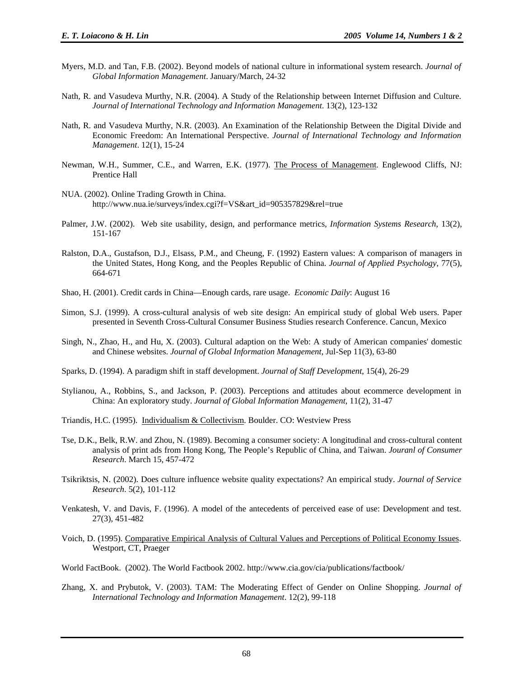- Myers, M.D. and Tan, F.B. (2002). Beyond models of national culture in informational system research. *Journal of Global Information Management*. January/March, 24-32
- Nath, R. and Vasudeva Murthy, N.R. (2004). A Study of the Relationship between Internet Diffusion and Culture. *Journal of International Technology and Information Management*. 13(2), 123-132
- Nath, R. and Vasudeva Murthy, N.R. (2003). An Examination of the Relationship Between the Digital Divide and Economic Freedom: An International Perspective. *Journal of International Technology and Information Management*. 12(1), 15-24
- Newman, W.H., Summer, C.E., and Warren, E.K. (1977). The Process of Management. Englewood Cliffs, NJ: Prentice Hall
- NUA. (2002). Online Trading Growth in China. http://www.nua.ie/surveys/index.cgi?f=VS&art\_id=905357829&rel=true
- Palmer, J.W. (2002). Web site usability, design, and performance metrics, *Information Systems Research*, 13(2), 151-167
- Ralston, D.A., Gustafson, D.J., Elsass, P.M., and Cheung, F. (1992) Eastern values: A comparison of managers in the United States, Hong Kong, and the Peoples Republic of China. *Journal of Applied Psychology*, 77(5), 664-671
- Shao, H. (2001). Credit cards in China—Enough cards, rare usage. *Economic Daily*: August 16
- Simon, S.J. (1999). A cross-cultural analysis of web site design: An empirical study of global Web users. Paper presented in Seventh Cross-Cultural Consumer Business Studies research Conference. Cancun, Mexico
- Singh, N., Zhao, H., and Hu, X. (2003). Cultural adaption on the Web: A study of American companies' domestic and Chinese websites. *Journal of Global Information Management*, Jul-Sep 11(3), 63-80
- Sparks, D. (1994). A paradigm shift in staff development. *Journal of Staff Development*, 15(4), 26-29
- Stylianou, A., Robbins, S., and Jackson, P. (2003). Perceptions and attitudes about ecommerce development in China: An exploratory study. *Journal of Global Information Management*, 11(2), 31-47
- Triandis, H.C. (1995). Individualism & Collectivism. Boulder. CO: Westview Press
- Tse, D.K., Belk, R.W. and Zhou, N. (1989). Becoming a consumer society: A longitudinal and cross-cultural content analysis of print ads from Hong Kong, The People's Republic of China, and Taiwan. *Jouranl of Consumer Research*. March 15, 457-472
- Tsikriktsis, N. (2002). Does culture influence website quality expectations? An empirical study. *Journal of Service Research*. 5(2), 101-112
- Venkatesh, V. and Davis, F. (1996). A model of the antecedents of perceived ease of use: Development and test. 27(3), 451-482
- Voich, D. (1995). Comparative Empirical Analysis of Cultural Values and Perceptions of Political Economy Issues. Westport, CT, Praeger
- World FactBook. (2002). The World Factbook 2002. http://www.cia.gov/cia/publications/factbook/
- Zhang, X. and Prybutok, V. (2003). TAM: The Moderating Effect of Gender on Online Shopping. *Journal of International Technology and Information Management*. 12(2), 99-118